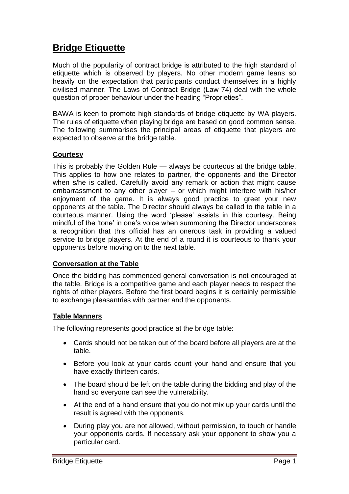# **Bridge Etiquette**

Much of the popularity of contract bridge is attributed to the high standard of etiquette which is observed by players. No other modern game leans so heavily on the expectation that participants conduct themselves in a highly civilised manner. The Laws of Contract Bridge (Law 74) deal with the whole question of proper behaviour under the heading "Proprieties".

BAWA is keen to promote high standards of bridge etiquette by WA players. The rules of etiquette when playing bridge are based on good common sense. The following summarises the principal areas of etiquette that players are expected to observe at the bridge table.

#### **Courtesy**

This is probably the Golden Rule — always be courteous at the bridge table. This applies to how one relates to partner, the opponents and the Director when s/he is called. Carefully avoid any remark or action that might cause embarrassment to any other player – or which might interfere with his/her enjoyment of the game. It is always good practice to greet your new opponents at the table. The Director should always be called to the table in a courteous manner. Using the word 'please' assists in this courtesy. Being mindful of the 'tone' in one's voice when summoning the Director underscores a recognition that this official has an onerous task in providing a valued service to bridge players. At the end of a round it is courteous to thank your opponents before moving on to the next table.

#### **Conversation at the Table**

Once the bidding has commenced general conversation is not encouraged at the table. Bridge is a competitive game and each player needs to respect the rights of other players. Before the first board begins it is certainly permissible to exchange pleasantries with partner and the opponents.

### **Table Manners**

The following represents good practice at the bridge table:

- Cards should not be taken out of the board before all players are at the table.
- Before you look at your cards count your hand and ensure that you have exactly thirteen cards.
- The board should be left on the table during the bidding and play of the hand so everyone can see the vulnerability.
- At the end of a hand ensure that you do not mix up your cards until the result is agreed with the opponents.
- During play you are not allowed, without permission, to touch or handle your opponents cards. If necessary ask your opponent to show you a particular card.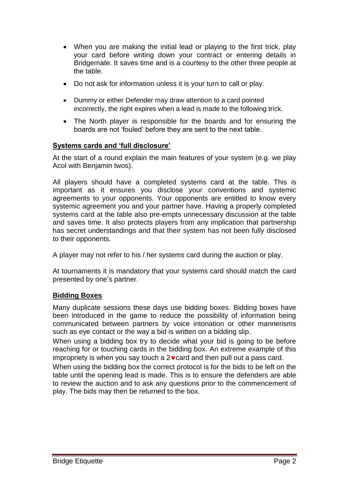- When you are making the initial lead or playing to the first trick, play your card before writing down your contract or entering details in Bridgemate. It saves time and is a courtesy to the other three people at the table.
- Do not ask for information unless it is your turn to call or play.
- Dummy or either Defender may draw attention to a card pointed incorrectly, the right expires when a lead is made to the following trick.
- The North player is responsible for the boards and for ensuring the boards are not 'fouled' before they are sent to the next table.

# **Systems cards and 'full disclosure'**

At the start of a round explain the main features of your system (e.g. we play Acol with Benjamin twos).

All players should have a completed systems card at the table. This is important as it ensures you disclose your conventions and systemic agreements to your opponents. Your opponents are entitled to know every systemic agreement you and your partner have. Having a properly completed systems card at the table also pre-empts unnecessary discussion at the table and saves time. It also protects players from any implication that partnership has secret understandings and that their system has not been fully disclosed to their opponents.

A player may not refer to his / her systems card during the auction or play.

At tournaments it is mandatory that your systems card should match the card presented by one's partner.

### **Bidding Boxes**

Many duplicate sessions these days use bidding boxes. Bidding boxes have been introduced in the game to reduce the possibility of information being communicated between partners by voice intonation or other mannerisms such as eye contact or the way a bid is written on a bidding slip.

When using a bidding box try to decide what your bid is going to be before reaching for or touching cards in the bidding box. An extreme example of this impropriety is when you say touch a  $2 \cdot \text{card}$  and then pull out a pass card.

When using the bidding box the correct protocol is for the bids to be left on the table until the opening lead is made. This is to ensure the defenders are able to review the auction and to ask any questions prior to the commencement of play. The bids may then be returned to the box.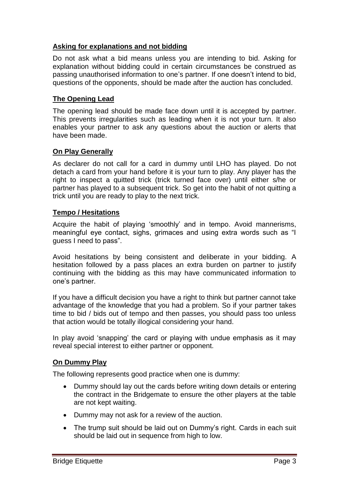## **Asking for explanations and not bidding**

Do not ask what a bid means unless you are intending to bid. Asking for explanation without bidding could in certain circumstances be construed as passing unauthorised information to one's partner. If one doesn't intend to bid, questions of the opponents, should be made after the auction has concluded.

## **The Opening Lead**

The opening lead should be made face down until it is accepted by partner. This prevents irregularities such as leading when it is not your turn. It also enables your partner to ask any questions about the auction or alerts that have been made.

# **On Play Generally**

As declarer do not call for a card in dummy until LHO has played. Do not detach a card from your hand before it is your turn to play. Any player has the right to inspect a quitted trick (trick turned face over) until either s/he or partner has played to a subsequent trick. So get into the habit of not quitting a trick until you are ready to play to the next trick.

### **Tempo / Hesitations**

Acquire the habit of playing 'smoothly' and in tempo. Avoid mannerisms, meaningful eye contact, sighs, grimaces and using extra words such as "I guess I need to pass‖.

Avoid hesitations by being consistent and deliberate in your bidding. A hesitation followed by a pass places an extra burden on partner to justify continuing with the bidding as this may have communicated information to one's partner.

If you have a difficult decision you have a right to think but partner cannot take advantage of the knowledge that you had a problem. So if your partner takes time to bid / bids out of tempo and then passes, you should pass too unless that action would be totally illogical considering your hand.

In play avoid 'snapping' the card or playing with undue emphasis as it may reveal special interest to either partner or opponent.

### **On Dummy Play**

The following represents good practice when one is dummy:

- Dummy should lay out the cards before writing down details or entering the contract in the Bridgemate to ensure the other players at the table are not kept waiting.
- Dummy may not ask for a review of the auction.
- The trump suit should be laid out on Dummy's right. Cards in each suit should be laid out in sequence from high to low.